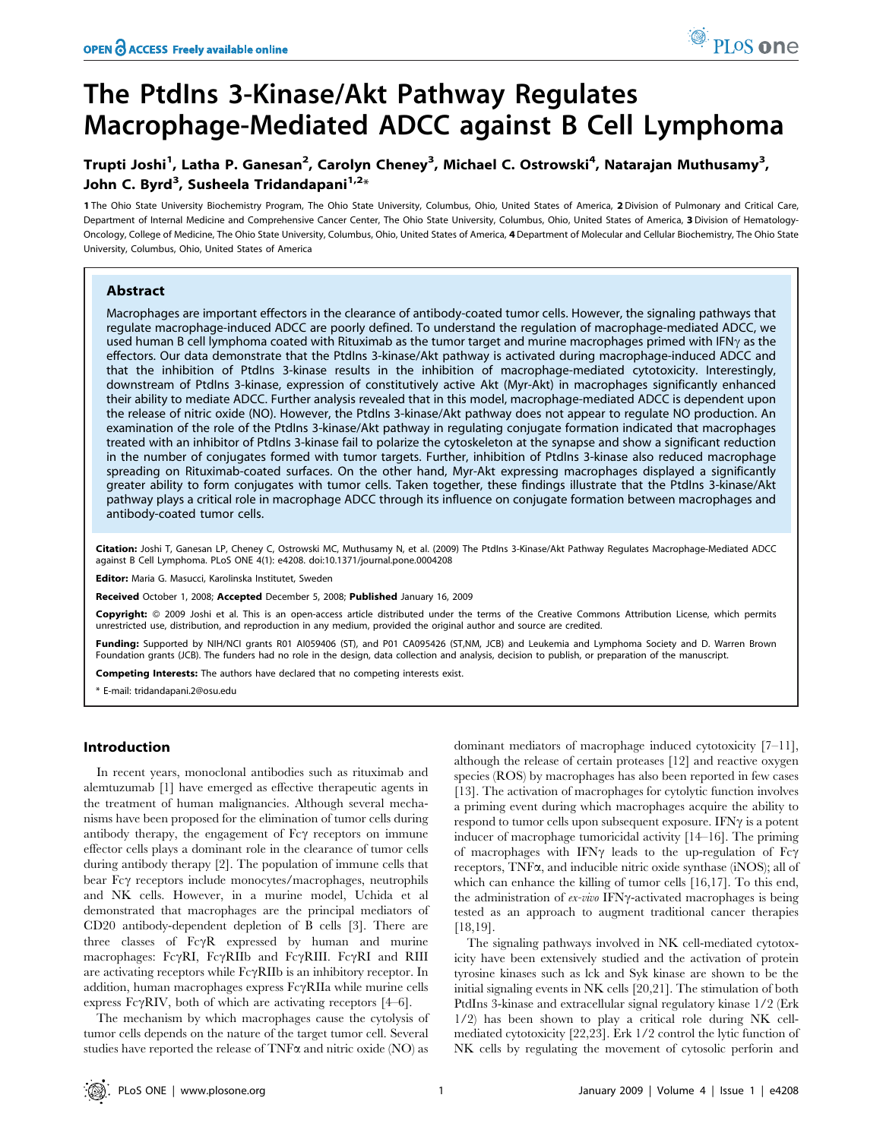# The PtdIns 3-Kinase/Akt Pathway Regulates Macrophage-Mediated ADCC against B Cell Lymphoma

# Trupti Joshi<sup>1</sup>, Latha P. Ganesan<sup>2</sup>, Carolyn Cheney<sup>3</sup>, Michael C. Ostrowski<sup>4</sup>, Natarajan Muthusamy<sup>3</sup>, John C. Byrd<sup>3</sup>, Susheela Tridandapani<sup>1,2</sup>\*

1 The Ohio State University Biochemistry Program, The Ohio State University, Columbus, Ohio, United States of America, 2 Division of Pulmonary and Critical Care, Department of Internal Medicine and Comprehensive Cancer Center, The Ohio State University, Columbus, Ohio, United States of America, 3 Division of Hematology-Oncology, College of Medicine, The Ohio State University, Columbus, Ohio, United States of America, 4 Department of Molecular and Cellular Biochemistry, The Ohio State University, Columbus, Ohio, United States of America

#### Abstract

Macrophages are important effectors in the clearance of antibody-coated tumor cells. However, the signaling pathways that regulate macrophage-induced ADCC are poorly defined. To understand the regulation of macrophage-mediated ADCC, we used human B cell lymphoma coated with Rituximab as the tumor target and murine macrophages primed with IFN $\gamma$  as the effectors. Our data demonstrate that the PtdIns 3-kinase/Akt pathway is activated during macrophage-induced ADCC and that the inhibition of PtdIns 3-kinase results in the inhibition of macrophage-mediated cytotoxicity. Interestingly, downstream of PtdIns 3-kinase, expression of constitutively active Akt (Myr-Akt) in macrophages significantly enhanced their ability to mediate ADCC. Further analysis revealed that in this model, macrophage-mediated ADCC is dependent upon the release of nitric oxide (NO). However, the PtdIns 3-kinase/Akt pathway does not appear to regulate NO production. An examination of the role of the PtdIns 3-kinase/Akt pathway in regulating conjugate formation indicated that macrophages treated with an inhibitor of PtdIns 3-kinase fail to polarize the cytoskeleton at the synapse and show a significant reduction in the number of conjugates formed with tumor targets. Further, inhibition of PtdIns 3-kinase also reduced macrophage spreading on Rituximab-coated surfaces. On the other hand, Myr-Akt expressing macrophages displayed a significantly greater ability to form conjugates with tumor cells. Taken together, these findings illustrate that the PtdIns 3-kinase/Akt pathway plays a critical role in macrophage ADCC through its influence on conjugate formation between macrophages and antibody-coated tumor cells.

Citation: Joshi T, Ganesan LP, Cheney C, Ostrowski MC, Muthusamy N, et al. (2009) The PtdIns 3-Kinase/Akt Pathway Regulates Macrophage-Mediated ADCC against B Cell Lymphoma. PLoS ONE 4(1): e4208. doi:10.1371/journal.pone.0004208

Editor: Maria G. Masucci, Karolinska Institutet, Sweden

Received October 1, 2008; Accepted December 5, 2008; Published January 16, 2009

Copyright: @ 2009 Joshi et al. This is an open-access article distributed under the terms of the Creative Commons Attribution License, which permits unrestricted use, distribution, and reproduction in any medium, provided the original author and source are credited.

Funding: Supported by NIH/NCI grants R01 AI059406 (ST), and P01 CA095426 (ST,NM, JCB) and Leukemia and Lymphoma Society and D. Warren Brown Foundation grants (JCB). The funders had no role in the design, data collection and analysis, decision to publish, or preparation of the manuscript.

Competing Interests: The authors have declared that no competing interests exist.

\* E-mail: tridandapani.2@osu.edu

#### Introduction

In recent years, monoclonal antibodies such as rituximab and alemtuzumab [1] have emerged as effective therapeutic agents in the treatment of human malignancies. Although several mechanisms have been proposed for the elimination of tumor cells during antibody therapy, the engagement of  $Fc\gamma$  receptors on immune effector cells plays a dominant role in the clearance of tumor cells during antibody therapy [2]. The population of immune cells that bear  $Fc\gamma$  receptors include monocytes/macrophages, neutrophils and NK cells. However, in a murine model, Uchida et al demonstrated that macrophages are the principal mediators of CD20 antibody-dependent depletion of B cells [3]. There are three classes of  $Fc\gamma R$  expressed by human and murine macrophages: FcyRI, FcyRIIb and FcyRIII. FcyRI and RIII are activating receptors while  $Fe\gamma RIIb$  is an inhibitory receptor. In addition, human macrophages express  $Fc\gamma RIIa$  while murine cells express Fc $\gamma$ RIV, both of which are activating receptors [4–6].

The mechanism by which macrophages cause the cytolysis of tumor cells depends on the nature of the target tumor cell. Several studies have reported the release of  $TNF\alpha$  and nitric oxide  $(NO)$  as

dominant mediators of macrophage induced cytotoxicity [7–11], although the release of certain proteases [12] and reactive oxygen species (ROS) by macrophages has also been reported in few cases [13]. The activation of macrophages for cytolytic function involves a priming event during which macrophages acquire the ability to respond to tumor cells upon subsequent exposure. IFN $\gamma$  is a potent inducer of macrophage tumoricidal activity [14–16]. The priming of macrophages with IFN $\gamma$  leads to the up-regulation of Fc $\gamma$ receptors, TNFa, and inducible nitric oxide synthase (iNOS); all of which can enhance the killing of tumor cells [16,17]. To this end, the administration of  $ex$ -vivo IFN $\gamma$ -activated macrophages is being tested as an approach to augment traditional cancer therapies [18,19].

The signaling pathways involved in NK cell-mediated cytotoxicity have been extensively studied and the activation of protein tyrosine kinases such as lck and Syk kinase are shown to be the initial signaling events in NK cells [20,21]. The stimulation of both PtdIns 3-kinase and extracellular signal regulatory kinase 1/2 (Erk 1/2) has been shown to play a critical role during NK cellmediated cytotoxicity [22,23]. Erk 1/2 control the lytic function of NK cells by regulating the movement of cytosolic perforin and

PLoS one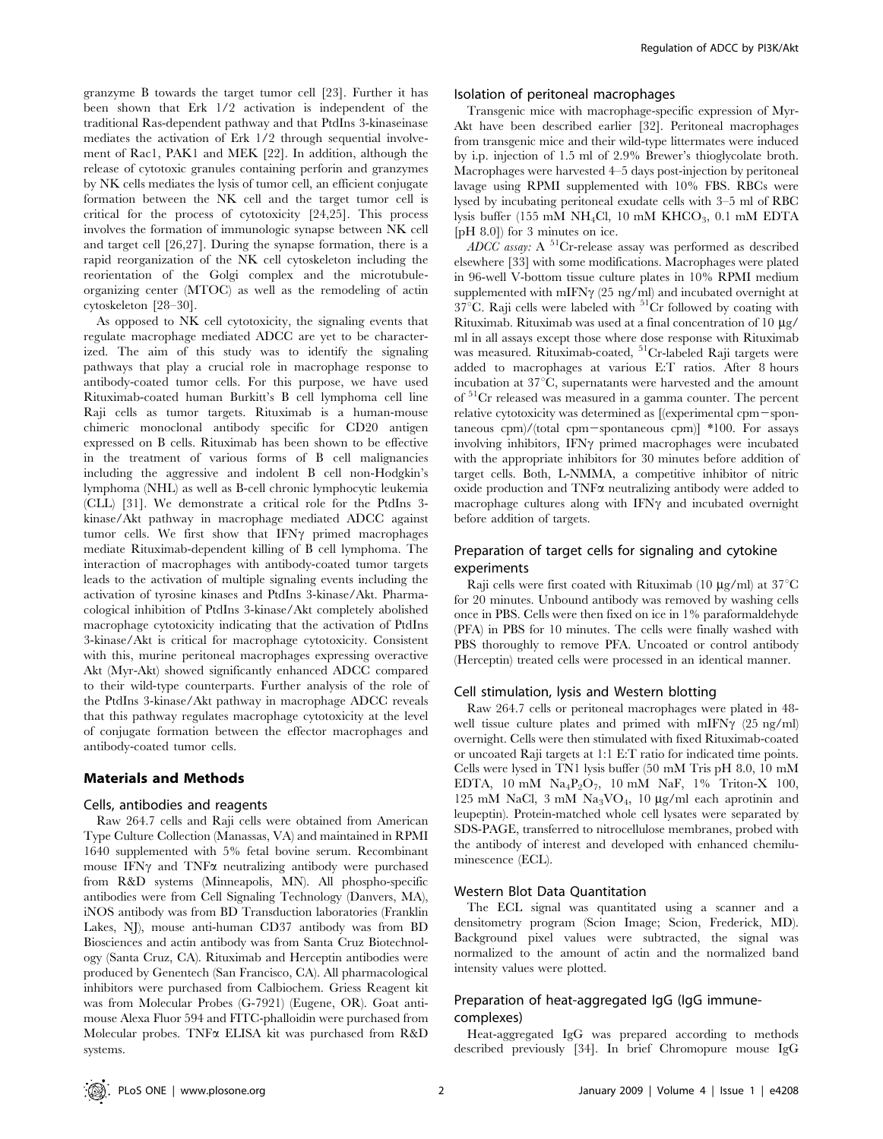granzyme B towards the target tumor cell [23]. Further it has been shown that Erk 1/2 activation is independent of the traditional Ras-dependent pathway and that PtdIns 3-kinaseinase mediates the activation of Erk 1/2 through sequential involvement of Rac1, PAK1 and MEK [22]. In addition, although the release of cytotoxic granules containing perforin and granzymes by NK cells mediates the lysis of tumor cell, an efficient conjugate formation between the NK cell and the target tumor cell is critical for the process of cytotoxicity [24,25]. This process involves the formation of immunologic synapse between NK cell and target cell [26,27]. During the synapse formation, there is a rapid reorganization of the NK cell cytoskeleton including the reorientation of the Golgi complex and the microtubuleorganizing center (MTOC) as well as the remodeling of actin cytoskeleton [28–30].

As opposed to NK cell cytotoxicity, the signaling events that regulate macrophage mediated ADCC are yet to be characterized. The aim of this study was to identify the signaling pathways that play a crucial role in macrophage response to antibody-coated tumor cells. For this purpose, we have used Rituximab-coated human Burkitt's B cell lymphoma cell line Raji cells as tumor targets. Rituximab is a human-mouse chimeric monoclonal antibody specific for CD20 antigen expressed on B cells. Rituximab has been shown to be effective in the treatment of various forms of B cell malignancies including the aggressive and indolent B cell non-Hodgkin's lymphoma (NHL) as well as B-cell chronic lymphocytic leukemia (CLL) [31]. We demonstrate a critical role for the PtdIns 3 kinase/Akt pathway in macrophage mediated ADCC against tumor cells. We first show that  $IFN\gamma$  primed macrophages mediate Rituximab-dependent killing of B cell lymphoma. The interaction of macrophages with antibody-coated tumor targets leads to the activation of multiple signaling events including the activation of tyrosine kinases and PtdIns 3-kinase/Akt. Pharmacological inhibition of PtdIns 3-kinase/Akt completely abolished macrophage cytotoxicity indicating that the activation of PtdIns 3-kinase/Akt is critical for macrophage cytotoxicity. Consistent with this, murine peritoneal macrophages expressing overactive Akt (Myr-Akt) showed significantly enhanced ADCC compared to their wild-type counterparts. Further analysis of the role of the PtdIns 3-kinase/Akt pathway in macrophage ADCC reveals that this pathway regulates macrophage cytotoxicity at the level of conjugate formation between the effector macrophages and antibody-coated tumor cells.

#### Materials and Methods

#### Cells, antibodies and reagents

Raw 264.7 cells and Raji cells were obtained from American Type Culture Collection (Manassas, VA) and maintained in RPMI 1640 supplemented with 5% fetal bovine serum. Recombinant mouse IFN $\gamma$  and TNF $\alpha$  neutralizing antibody were purchased from R&D systems (Minneapolis, MN). All phospho-specific antibodies were from Cell Signaling Technology (Danvers, MA), iNOS antibody was from BD Transduction laboratories (Franklin Lakes, NJ), mouse anti-human CD37 antibody was from BD Biosciences and actin antibody was from Santa Cruz Biotechnology (Santa Cruz, CA). Rituximab and Herceptin antibodies were produced by Genentech (San Francisco, CA). All pharmacological inhibitors were purchased from Calbiochem. Griess Reagent kit was from Molecular Probes (G-7921) (Eugene, OR). Goat antimouse Alexa Fluor 594 and FITC-phalloidin were purchased from Molecular probes. TNF $\alpha$  ELISA kit was purchased from R&D systems.

#### Isolation of peritoneal macrophages

Transgenic mice with macrophage-specific expression of Myr-Akt have been described earlier [32]. Peritoneal macrophages from transgenic mice and their wild-type littermates were induced by i.p. injection of 1.5 ml of 2.9% Brewer's thioglycolate broth. Macrophages were harvested 4–5 days post-injection by peritoneal lavage using RPMI supplemented with 10% FBS. RBCs were lysed by incubating peritoneal exudate cells with 3–5 ml of RBC lysis buffer (155 mM NH<sub>4</sub>Cl, 10 mM KHCO<sub>3</sub>, 0.1 mM EDTA [pH 8.0]) for 3 minutes on ice.

ADCC assay: A  ${}^{51}$ Cr-release assay was performed as described elsewhere [33] with some modifications. Macrophages were plated in 96-well V-bottom tissue culture plates in 10% RPMI medium supplemented with mIFN $\gamma$  (25 ng/ml) and incubated overnight at  $37^{\circ}$ C. Raji cells were labeled with  $5^{1}$ Cr followed by coating with Rituximab. Rituximab was used at a final concentration of 10 µg/ ml in all assays except those where dose response with Rituximab was measured. Rituximab-coated, <sup>51</sup>Cr-labeled Raji targets were added to macrophages at various E:T ratios. After 8 hours incubation at  $37^{\circ}$ C, supernatants were harvested and the amount of 51Cr released was measured in a gamma counter. The percent relative cytotoxicity was determined as  $[$ (experimental cpm $-$ spontaneous cpm $/$ (total cpm-spontaneous cpm)] \*100. For assays involving inhibitors,  $IFN\gamma$  primed macrophages were incubated with the appropriate inhibitors for 30 minutes before addition of target cells. Both, L-NMMA, a competitive inhibitor of nitric oxide production and  $TNF\alpha$  neutralizing antibody were added to macrophage cultures along with  $IFN\gamma$  and incubated overnight before addition of targets.

# Preparation of target cells for signaling and cytokine experiments

Raji cells were first coated with Rituximab (10  $\mu$ g/ml) at 37<sup>°</sup>C for 20 minutes. Unbound antibody was removed by washing cells once in PBS. Cells were then fixed on ice in 1% paraformaldehyde (PFA) in PBS for 10 minutes. The cells were finally washed with PBS thoroughly to remove PFA. Uncoated or control antibody (Herceptin) treated cells were processed in an identical manner.

#### Cell stimulation, lysis and Western blotting

Raw 264.7 cells or peritoneal macrophages were plated in 48 well tissue culture plates and primed with mIFN $\gamma$  (25 ng/ml) overnight. Cells were then stimulated with fixed Rituximab-coated or uncoated Raji targets at 1:1 E:T ratio for indicated time points. Cells were lysed in TN1 lysis buffer (50 mM Tris pH 8.0, 10 mM EDTA,  $10 \text{ mM } \text{Na}_4\text{P}_2\text{O}_7$ ,  $10 \text{ mM } \text{NaF}$ ,  $1\%$  Triton-X  $100$ , 125 mM NaCl, 3 mM Na<sub>3</sub>VO<sub>4</sub>, 10  $\mu$ g/ml each aprotinin and leupeptin). Protein-matched whole cell lysates were separated by SDS-PAGE, transferred to nitrocellulose membranes, probed with the antibody of interest and developed with enhanced chemiluminescence (ECL).

#### Western Blot Data Quantitation

The ECL signal was quantitated using a scanner and a densitometry program (Scion Image; Scion, Frederick, MD). Background pixel values were subtracted, the signal was normalized to the amount of actin and the normalized band intensity values were plotted.

#### Preparation of heat-aggregated IgG (IgG immunecomplexes)

Heat-aggregated IgG was prepared according to methods described previously [34]. In brief Chromopure mouse IgG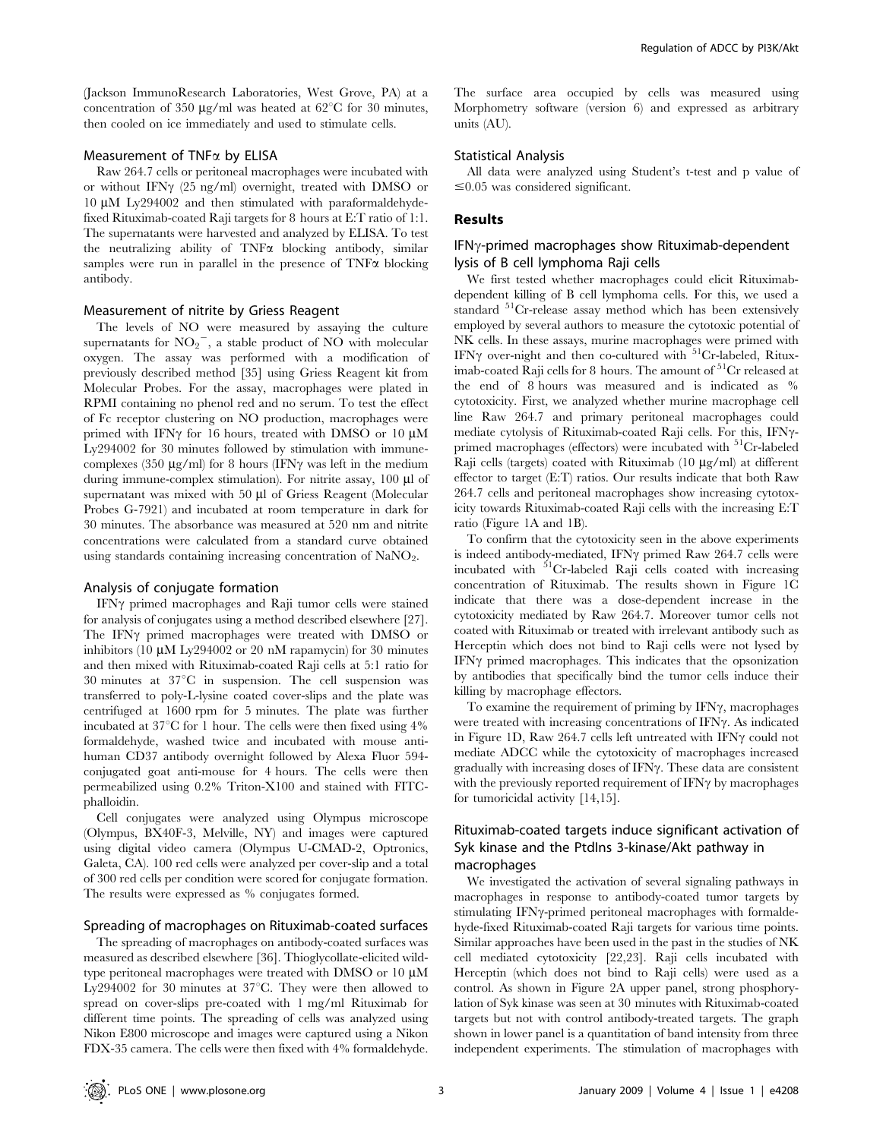(Jackson ImmunoResearch Laboratories, West Grove, PA) at a concentration of 350  $\mu$ g/ml was heated at 62<sup>°</sup>C for 30 minutes, then cooled on ice immediately and used to stimulate cells.

#### Measurement of  $TNFx$  by ELISA

Raw 264.7 cells or peritoneal macrophages were incubated with or without IFN $\gamma$  (25 ng/ml) overnight, treated with DMSO or  $10 \mu M$  Ly294002 and then stimulated with paraformaldehydefixed Rituximab-coated Raji targets for 8 hours at E:T ratio of 1:1. The supernatants were harvested and analyzed by ELISA. To test the neutralizing ability of  $TNF\alpha$  blocking antibody, similar samples were run in parallel in the presence of  $TNF\alpha$  blocking antibody.

#### Measurement of nitrite by Griess Reagent

The levels of NO were measured by assaying the culture supernatants for  $NO_2^-$ , a stable product of NO with molecular oxygen. The assay was performed with a modification of previously described method [35] using Griess Reagent kit from Molecular Probes. For the assay, macrophages were plated in RPMI containing no phenol red and no serum. To test the effect of Fc receptor clustering on NO production, macrophages were primed with IFN $\gamma$  for 16 hours, treated with DMSO or 10  $\mu$ M Ly294002 for 30 minutes followed by stimulation with immunecomplexes (350  $\mu$ g/ml) for 8 hours (IFN $\gamma$  was left in the medium during immune-complex stimulation). For nitrite assay,  $100 \mu l$  of supernatant was mixed with 50 µl of Griess Reagent (Molecular Probes G-7921) and incubated at room temperature in dark for 30 minutes. The absorbance was measured at 520 nm and nitrite concentrations were calculated from a standard curve obtained using standards containing increasing concentration of NaNO<sub>2</sub>.

#### Analysis of conjugate formation

IFNy primed macrophages and Raji tumor cells were stained for analysis of conjugates using a method described elsewhere [27]. The IFNy primed macrophages were treated with DMSO or inhibitors (10  $\mu$ M Ly294002 or 20 nM rapamycin) for 30 minutes and then mixed with Rituximab-coated Raji cells at 5:1 ratio for 30 minutes at  $37^{\circ}$ C in suspension. The cell suspension was transferred to poly-L-lysine coated cover-slips and the plate was centrifuged at 1600 rpm for 5 minutes. The plate was further incubated at  $37^{\circ}$ C for 1 hour. The cells were then fixed using  $4\%$ formaldehyde, washed twice and incubated with mouse antihuman CD37 antibody overnight followed by Alexa Fluor 594 conjugated goat anti-mouse for 4 hours. The cells were then permeabilized using 0.2% Triton-X100 and stained with FITCphalloidin.

Cell conjugates were analyzed using Olympus microscope (Olympus, BX40F-3, Melville, NY) and images were captured using digital video camera (Olympus U-CMAD-2, Optronics, Galeta, CA). 100 red cells were analyzed per cover-slip and a total of 300 red cells per condition were scored for conjugate formation. The results were expressed as % conjugates formed.

#### Spreading of macrophages on Rituximab-coated surfaces

The spreading of macrophages on antibody-coated surfaces was measured as described elsewhere [36]. Thioglycollate-elicited wildtype peritoneal macrophages were treated with DMSO or 10  $\mu$ M Ly294002 for 30 minutes at  $37^{\circ}$ C. They were then allowed to spread on cover-slips pre-coated with 1 mg/ml Rituximab for different time points. The spreading of cells was analyzed using Nikon E800 microscope and images were captured using a Nikon FDX-35 camera. The cells were then fixed with 4% formaldehyde.

The surface area occupied by cells was measured using Morphometry software (version 6) and expressed as arbitrary units (AU).

#### Statistical Analysis

All data were analyzed using Student's t-test and p value of  $\leq 0.05$  was considered significant.

#### Results

#### $IFN<sub>Y</sub>-primed macrophages show Rituximab-dependent$ lysis of B cell lymphoma Raji cells

We first tested whether macrophages could elicit Rituximabdependent killing of B cell lymphoma cells. For this, we used a standard <sup>51</sup>Cr-release assay method which has been extensively employed by several authors to measure the cytotoxic potential of NK cells. In these assays, murine macrophages were primed with IFN $\gamma$  over-night and then co-cultured with  $51$ Cr-labeled, Rituximab-coated Raji cells for 8 hours. The amount of 51Cr released at the end of 8 hours was measured and is indicated as % cytotoxicity. First, we analyzed whether murine macrophage cell line Raw 264.7 and primary peritoneal macrophages could mediate cytolysis of Rituximab-coated Raji cells. For this, IFN $\gamma$ primed macrophages (effectors) were incubated with  $^{51}Cr$ -labeled Raji cells (targets) coated with Rituximab  $(10 \mu g/ml)$  at different effector to target (E:T) ratios. Our results indicate that both Raw 264.7 cells and peritoneal macrophages show increasing cytotoxicity towards Rituximab-coated Raji cells with the increasing E:T ratio (Figure 1A and 1B).

To confirm that the cytotoxicity seen in the above experiments is indeed antibody-mediated, IFN $\gamma$  primed Raw 264.7 cells were incubated with  $5^1$ Cr-labeled Raji cells coated with increasing concentration of Rituximab. The results shown in Figure 1C indicate that there was a dose-dependent increase in the cytotoxicity mediated by Raw 264.7. Moreover tumor cells not coated with Rituximab or treated with irrelevant antibody such as Herceptin which does not bind to Raji cells were not lysed by IFN $\gamma$  primed macrophages. This indicates that the opsonization by antibodies that specifically bind the tumor cells induce their killing by macrophage effectors.

To examine the requirement of priming by  $IFN\gamma$ , macrophages were treated with increasing concentrations of IFN $\gamma$ . As indicated in Figure 1D, Raw 264.7 cells left untreated with IFN $\gamma$  could not mediate ADCC while the cytotoxicity of macrophages increased gradually with increasing doses of IFN $\gamma$ . These data are consistent with the previously reported requirement of  $IFN\gamma$  by macrophages for tumoricidal activity [14,15].

# Rituximab-coated targets induce significant activation of Syk kinase and the PtdIns 3-kinase/Akt pathway in macrophages

We investigated the activation of several signaling pathways in macrophages in response to antibody-coated tumor targets by stimulating IFN $\gamma$ -primed peritoneal macrophages with formaldehyde-fixed Rituximab-coated Raji targets for various time points. Similar approaches have been used in the past in the studies of NK cell mediated cytotoxicity [22,23]. Raji cells incubated with Herceptin (which does not bind to Raji cells) were used as a control. As shown in Figure 2A upper panel, strong phosphorylation of Syk kinase was seen at 30 minutes with Rituximab-coated targets but not with control antibody-treated targets. The graph shown in lower panel is a quantitation of band intensity from three independent experiments. The stimulation of macrophages with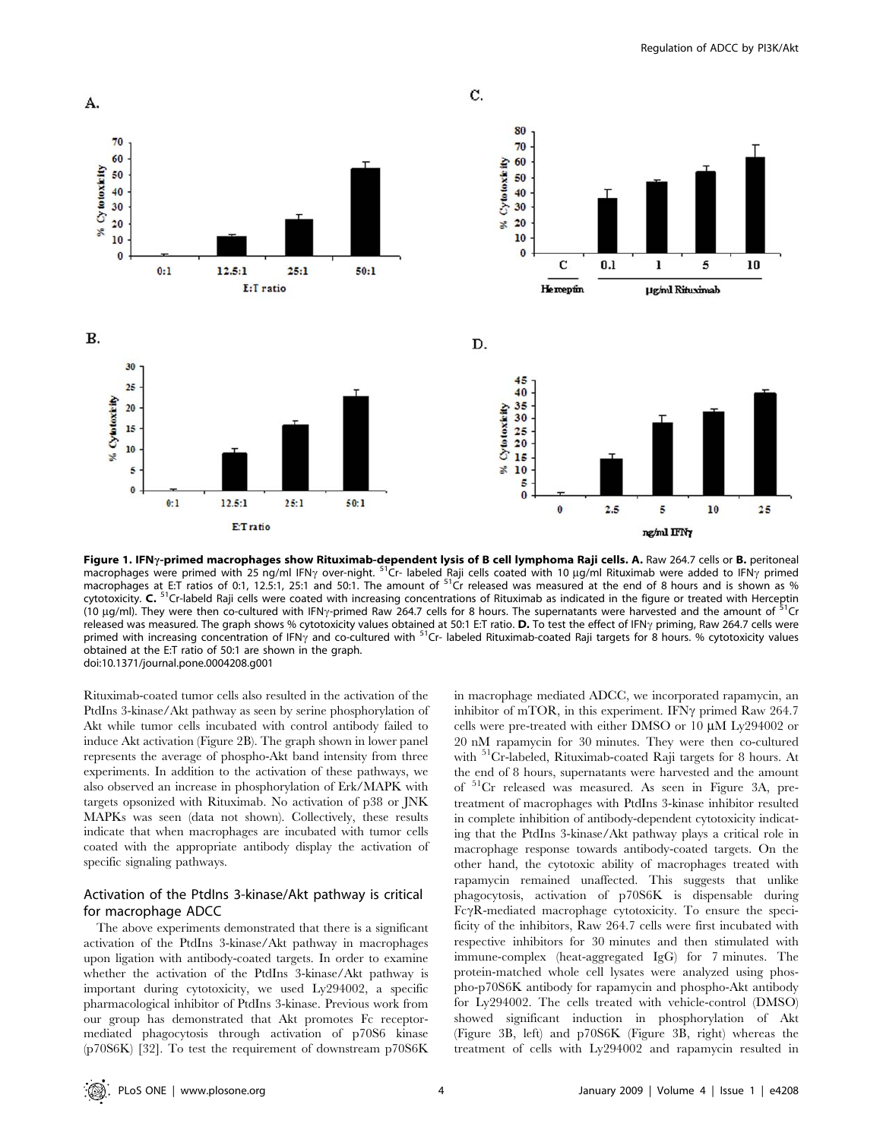

Figure 1. IFNy-primed macrophages show Rituximab-dependent lysis of B cell lymphoma Raji cells. A. Raw 264.7 cells or B. peritoneal macrophages were primed with 25 ng/ml IFN<sub>Y</sub> over-night. <sup>51</sup>Cr- labeled Raji cells coated with 10 µg/ml Rituximab were added to IFN<sub>Y</sub> primed macrophages at E:T ratios of 0:1, 12.5:1, 25:1 and 50:1. The amount of <sup>51</sup>Cr released was measured at the end of 8 hours and is shown as % cytotoxicity. C. 51Cr-labeld Raji cells were coated with increasing concentrations of Rituximab as indicated in the figure or treated with Herceptin (10  $\mu$ g/ml). They were then co-cultured with IFN<sub>Y</sub>-primed Raw 264.7 cells for 8 hours. The supernatants were harvested and the amount of <sup>51</sup>Cr released was measured. The graph shows % cytotoxicity values obtained at 50:1 E:T ratio. **D.** To test the effect of IFN<sub>Y</sub> priming, Raw 264.7 cells were<br>primed with increasing concentration of IFN<sub>Y</sub> and co-cultured with <sup></sup> obtained at the E:T ratio of 50:1 are shown in the graph. doi:10.1371/journal.pone.0004208.g001

Rituximab-coated tumor cells also resulted in the activation of the PtdIns 3-kinase/Akt pathway as seen by serine phosphorylation of Akt while tumor cells incubated with control antibody failed to induce Akt activation (Figure 2B). The graph shown in lower panel represents the average of phospho-Akt band intensity from three experiments. In addition to the activation of these pathways, we also observed an increase in phosphorylation of Erk/MAPK with targets opsonized with Rituximab. No activation of p38 or JNK MAPKs was seen (data not shown). Collectively, these results indicate that when macrophages are incubated with tumor cells coated with the appropriate antibody display the activation of specific signaling pathways.

# Activation of the PtdIns 3-kinase/Akt pathway is critical for macrophage ADCC

The above experiments demonstrated that there is a significant activation of the PtdIns 3-kinase/Akt pathway in macrophages upon ligation with antibody-coated targets. In order to examine whether the activation of the PtdIns 3-kinase/Akt pathway is important during cytotoxicity, we used Ly294002, a specific pharmacological inhibitor of PtdIns 3-kinase. Previous work from our group has demonstrated that Akt promotes Fc receptormediated phagocytosis through activation of p70S6 kinase (p70S6K) [32]. To test the requirement of downstream p70S6K

in macrophage mediated ADCC, we incorporated rapamycin, an inhibitor of mTOR, in this experiment. IFN $\gamma$  primed Raw 264.7 cells were pre-treated with either DMSO or  $10 \mu M$  Ly294002 or 20 nM rapamycin for 30 minutes. They were then co-cultured with <sup>51</sup>Cr-labeled, Rituximab-coated Raji targets for 8 hours. At the end of 8 hours, supernatants were harvested and the amount of 51Cr released was measured. As seen in Figure 3A, pretreatment of macrophages with PtdIns 3-kinase inhibitor resulted in complete inhibition of antibody-dependent cytotoxicity indicating that the PtdIns 3-kinase/Akt pathway plays a critical role in macrophage response towards antibody-coated targets. On the other hand, the cytotoxic ability of macrophages treated with rapamycin remained unaffected. This suggests that unlike phagocytosis, activation of p70S6K is dispensable during Fc $\gamma$ R-mediated macrophage cytotoxicity. To ensure the specificity of the inhibitors, Raw 264.7 cells were first incubated with respective inhibitors for 30 minutes and then stimulated with immune-complex (heat-aggregated IgG) for 7 minutes. The protein-matched whole cell lysates were analyzed using phospho-p70S6K antibody for rapamycin and phospho-Akt antibody for Ly294002. The cells treated with vehicle-control (DMSO) showed significant induction in phosphorylation of Akt (Figure 3B, left) and p70S6K (Figure 3B, right) whereas the treatment of cells with Ly294002 and rapamycin resulted in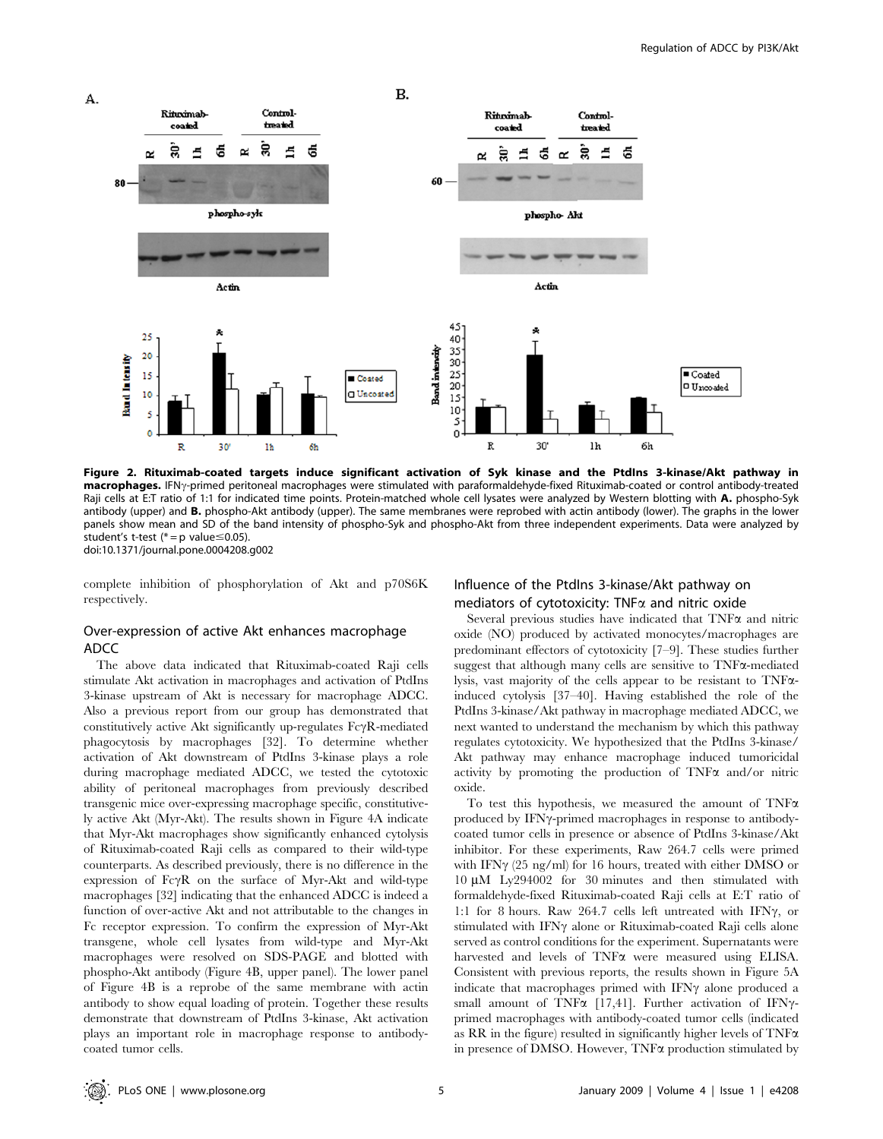

Figure 2. Rituximab-coated targets induce significant activation of Syk kinase and the PtdIns 3-kinase/Akt pathway in macrophages. IFN<sub>Y</sub>-primed peritoneal macrophages were stimulated with paraformaldehyde-fixed Rituximab-coated or control antibody-treated Raji cells at E:T ratio of 1:1 for indicated time points. Protein-matched whole cell lysates were analyzed by Western blotting with A. phospho-Syk antibody (upper) and B. phospho-Akt antibody (upper). The same membranes were reprobed with actin antibody (lower). The graphs in the lower panels show mean and SD of the band intensity of phospho-Syk and phospho-Akt from three independent experiments. Data were analyzed by student's t-test ( $* = p$  value  $\leq 0.05$ ). doi:10.1371/journal.pone.0004208.g002

complete inhibition of phosphorylation of Akt and p70S6K respectively.

# Over-expression of active Akt enhances macrophage ADCC

The above data indicated that Rituximab-coated Raji cells stimulate Akt activation in macrophages and activation of PtdIns 3-kinase upstream of Akt is necessary for macrophage ADCC. Also a previous report from our group has demonstrated that constitutively active Akt significantly up-regulates  $Fc\gamma R$ -mediated phagocytosis by macrophages [32]. To determine whether activation of Akt downstream of PtdIns 3-kinase plays a role during macrophage mediated ADCC, we tested the cytotoxic ability of peritoneal macrophages from previously described transgenic mice over-expressing macrophage specific, constitutively active Akt (Myr-Akt). The results shown in Figure 4A indicate that Myr-Akt macrophages show significantly enhanced cytolysis of Rituximab-coated Raji cells as compared to their wild-type counterparts. As described previously, there is no difference in the expression of  $Fc\gamma R$  on the surface of Myr-Akt and wild-type macrophages [32] indicating that the enhanced ADCC is indeed a function of over-active Akt and not attributable to the changes in Fc receptor expression. To confirm the expression of Myr-Akt transgene, whole cell lysates from wild-type and Myr-Akt macrophages were resolved on SDS-PAGE and blotted with phospho-Akt antibody (Figure 4B, upper panel). The lower panel of Figure 4B is a reprobe of the same membrane with actin antibody to show equal loading of protein. Together these results demonstrate that downstream of PtdIns 3-kinase, Akt activation plays an important role in macrophage response to antibodycoated tumor cells.

# Influence of the PtdIns 3-kinase/Akt pathway on mediators of cytotoxicity: TNF $\alpha$  and nitric oxide

Several previous studies have indicated that  $TNF\alpha$  and nitric oxide (NO) produced by activated monocytes/macrophages are predominant effectors of cytotoxicity [7–9]. These studies further suggest that although many cells are sensitive to TNFa-mediated lysis, vast majority of the cells appear to be resistant to TNFainduced cytolysis [37–40]. Having established the role of the PtdIns 3-kinase/Akt pathway in macrophage mediated ADCC, we next wanted to understand the mechanism by which this pathway regulates cytotoxicity. We hypothesized that the PtdIns 3-kinase/ Akt pathway may enhance macrophage induced tumoricidal activity by promoting the production of  $TNF\alpha$  and/or nitric oxide.

To test this hypothesis, we measured the amount of  $TNF\alpha$ produced by IFN<sub>Y</sub>-primed macrophages in response to antibodycoated tumor cells in presence or absence of PtdIns 3-kinase/Akt inhibitor. For these experiments, Raw 264.7 cells were primed with IFN $\gamma$  (25 ng/ml) for 16 hours, treated with either DMSO or  $10 \mu M$  Ly294002 for 30 minutes and then stimulated with formaldehyde-fixed Rituximab-coated Raji cells at E:T ratio of 1:1 for 8 hours. Raw 264.7 cells left untreated with IFN $\gamma$ , or stimulated with IFN $\gamma$  alone or Rituximab-coated Raji cells alone served as control conditions for the experiment. Supernatants were harvested and levels of TNF $\alpha$  were measured using ELISA. Consistent with previous reports, the results shown in Figure 5A indicate that macrophages primed with IFN $\gamma$  alone produced a small amount of TNF $\alpha$  [17,41]. Further activation of IFN $\gamma$ primed macrophages with antibody-coated tumor cells (indicated as RR in the figure) resulted in significantly higher levels of  $TNF\alpha$ in presence of DMSO. However, TNFa production stimulated by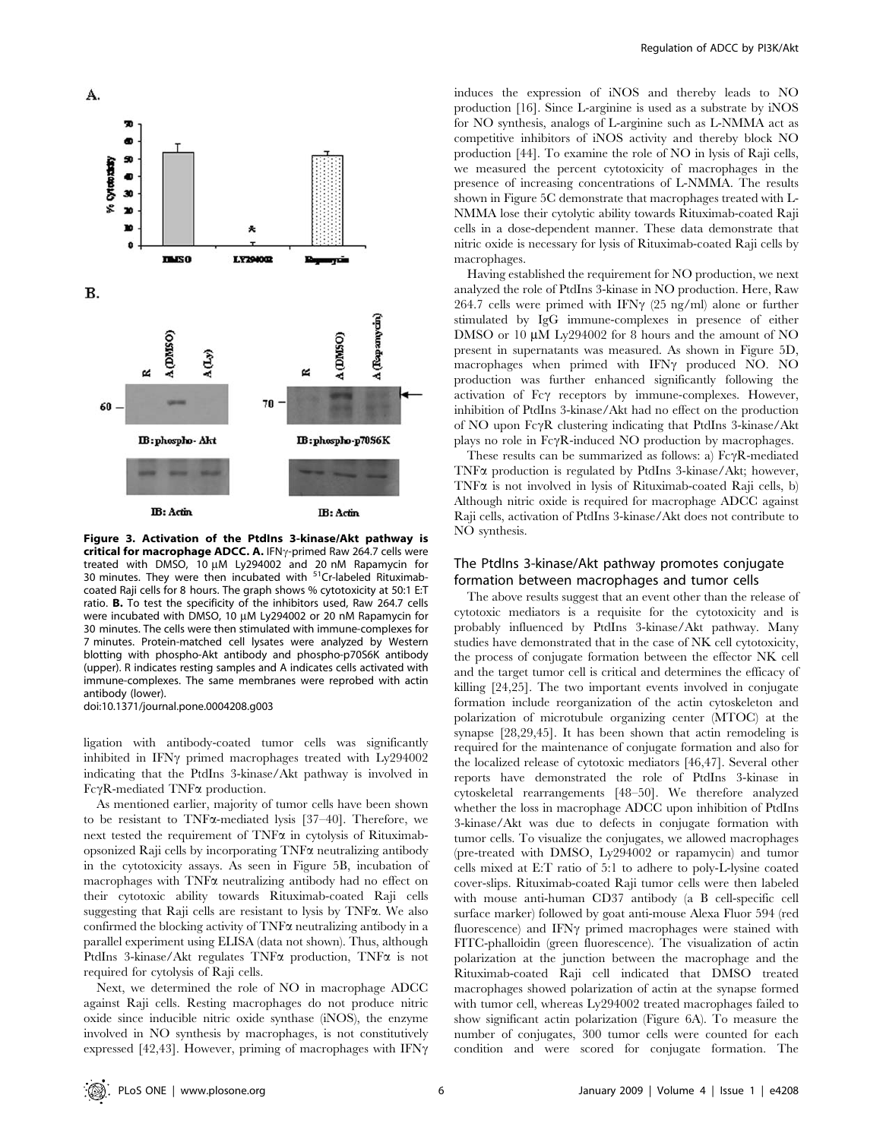

Figure 3. Activation of the PtdIns 3-kinase/Akt pathway is critical for macrophage ADCC. A. IFN $\gamma$ -primed Raw 264.7 cells were treated with DMSO, 10  $\mu$ M Ly294002 and 20 nM Rapamycin for 30 minutes. They were then incubated with <sup>51</sup>Cr-labeled Rituximabcoated Raji cells for 8 hours. The graph shows % cytotoxicity at 50:1 E:T ratio. B. To test the specificity of the inhibitors used, Raw 264.7 cells were incubated with DMSO, 10 µM Ly294002 or 20 nM Rapamycin for 30 minutes. The cells were then stimulated with immune-complexes for 7 minutes. Protein-matched cell lysates were analyzed by Western blotting with phospho-Akt antibody and phospho-p70S6K antibody (upper). R indicates resting samples and A indicates cells activated with immune-complexes. The same membranes were reprobed with actin antibody (lower).

doi:10.1371/journal.pone.0004208.g003

ligation with antibody-coated tumor cells was significantly inhibited in IFN $\gamma$  primed macrophages treated with Ly294002 indicating that the PtdIns 3-kinase/Akt pathway is involved in  $Fc\gamma R$ -mediated TNF $\alpha$  production.

As mentioned earlier, majority of tumor cells have been shown to be resistant to TNFa-mediated lysis [37–40]. Therefore, we next tested the requirement of  $TNF\alpha$  in cytolysis of Rituximabopsonized Raji cells by incorporating  $TNF\alpha$  neutralizing antibody in the cytotoxicity assays. As seen in Figure 5B, incubation of macrophages with  $TNF\alpha$  neutralizing antibody had no effect on their cytotoxic ability towards Rituximab-coated Raji cells suggesting that Raji cells are resistant to lysis by TNFa. We also confirmed the blocking activity of  $TNF\alpha$  neutralizing antibody in a parallel experiment using ELISA (data not shown). Thus, although PtdIns 3-kinase/Akt regulates TNF $\alpha$  production, TNF $\alpha$  is not required for cytolysis of Raji cells.

Next, we determined the role of NO in macrophage ADCC against Raji cells. Resting macrophages do not produce nitric oxide since inducible nitric oxide synthase (iNOS), the enzyme involved in NO synthesis by macrophages, is not constitutively expressed [42,43]. However, priming of macrophages with IFN $\gamma$  induces the expression of iNOS and thereby leads to NO production [16]. Since L-arginine is used as a substrate by iNOS for NO synthesis, analogs of L-arginine such as L-NMMA act as competitive inhibitors of iNOS activity and thereby block NO production [44]. To examine the role of NO in lysis of Raji cells, we measured the percent cytotoxicity of macrophages in the presence of increasing concentrations of L-NMMA. The results shown in Figure 5C demonstrate that macrophages treated with L-NMMA lose their cytolytic ability towards Rituximab-coated Raji cells in a dose-dependent manner. These data demonstrate that nitric oxide is necessary for lysis of Rituximab-coated Raji cells by macrophages.

Having established the requirement for NO production, we next analyzed the role of PtdIns 3-kinase in NO production. Here, Raw 264.7 cells were primed with IFN $\gamma$  (25 ng/ml) alone or further stimulated by IgG immune-complexes in presence of either DMSO or 10 µM Ly294002 for 8 hours and the amount of NO present in supernatants was measured. As shown in Figure 5D, macrophages when primed with IFN $\gamma$  produced NO. NO production was further enhanced significantly following the activation of  $Fc\gamma$  receptors by immune-complexes. However, inhibition of PtdIns 3-kinase/Akt had no effect on the production of NO upon FcyR clustering indicating that PtdIns 3-kinase/Akt plays no role in  $Fc\gamma R$ -induced NO production by macrophages.

These results can be summarized as follows: a)  $Fc\gamma R$ -mediated TNF $\alpha$  production is regulated by PtdIns 3-kinase/Akt; however, TNF $\alpha$  is not involved in lysis of Rituximab-coated Raji cells, b) Although nitric oxide is required for macrophage ADCC against Raji cells, activation of PtdIns 3-kinase/Akt does not contribute to NO synthesis.

## The PtdIns 3-kinase/Akt pathway promotes conjugate formation between macrophages and tumor cells

The above results suggest that an event other than the release of cytotoxic mediators is a requisite for the cytotoxicity and is probably influenced by PtdIns 3-kinase/Akt pathway. Many studies have demonstrated that in the case of NK cell cytotoxicity, the process of conjugate formation between the effector NK cell and the target tumor cell is critical and determines the efficacy of killing [24,25]. The two important events involved in conjugate formation include reorganization of the actin cytoskeleton and polarization of microtubule organizing center (MTOC) at the synapse [28,29,45]. It has been shown that actin remodeling is required for the maintenance of conjugate formation and also for the localized release of cytotoxic mediators [46,47]. Several other reports have demonstrated the role of PtdIns 3-kinase in cytoskeletal rearrangements [48–50]. We therefore analyzed whether the loss in macrophage ADCC upon inhibition of PtdIns 3-kinase/Akt was due to defects in conjugate formation with tumor cells. To visualize the conjugates, we allowed macrophages (pre-treated with DMSO, Ly294002 or rapamycin) and tumor cells mixed at E:T ratio of 5:1 to adhere to poly-L-lysine coated cover-slips. Rituximab-coated Raji tumor cells were then labeled with mouse anti-human CD37 antibody (a B cell-specific cell surface marker) followed by goat anti-mouse Alexa Fluor 594 (red fluorescence) and IFN $\gamma$  primed macrophages were stained with FITC-phalloidin (green fluorescence). The visualization of actin polarization at the junction between the macrophage and the Rituximab-coated Raji cell indicated that DMSO treated macrophages showed polarization of actin at the synapse formed with tumor cell, whereas Ly294002 treated macrophages failed to show significant actin polarization (Figure 6A). To measure the number of conjugates, 300 tumor cells were counted for each condition and were scored for conjugate formation. The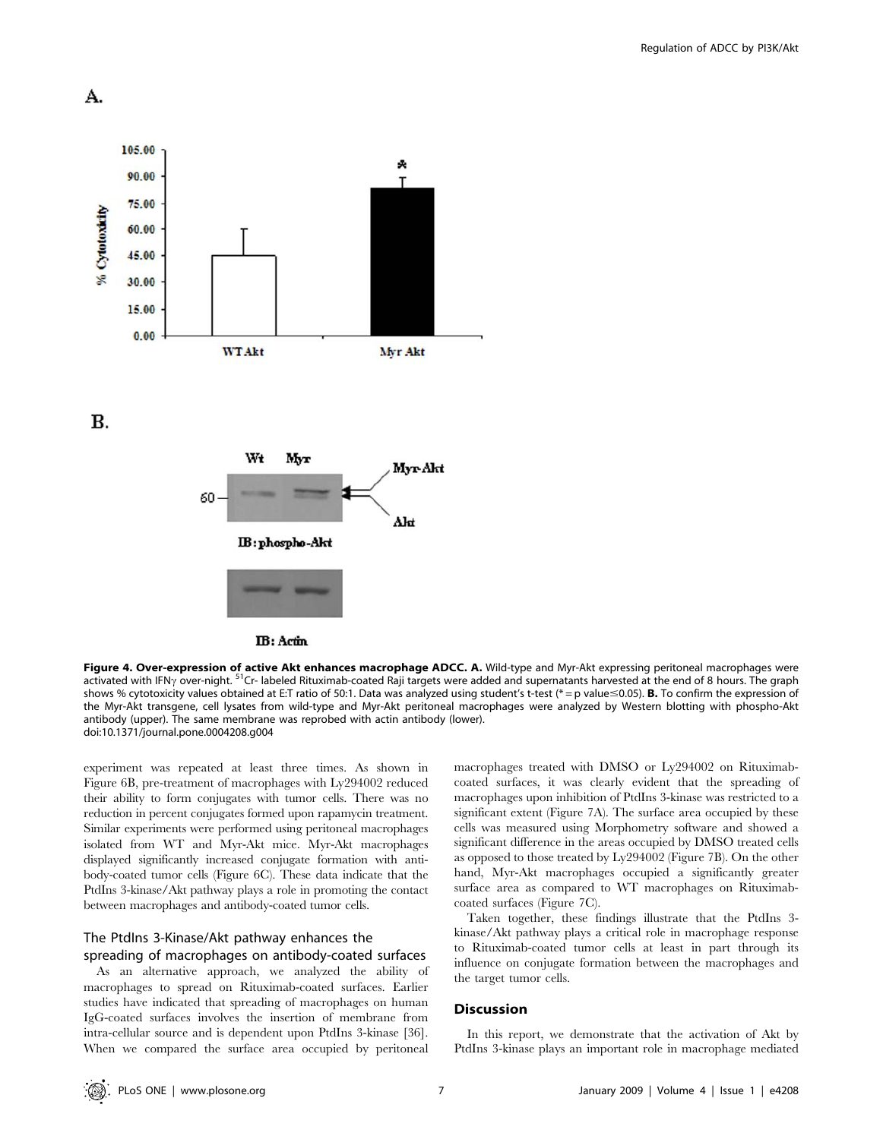



Figure 4. Over-expression of active Akt enhances macrophage ADCC. A. Wild-type and Myr-Akt expressing peritoneal macrophages were activated with IFN<sub>2</sub> over-night. <sup>51</sup>Cr- labeled Rituximab-coated Raji targets were added and supernatants harvested at the end of 8 hours. The graph shows % cytotoxicity values obtained at E:T ratio of 50:1. Data was analyzed using student's t-test (\* = p value≤0.05). **B.** To confirm the expression of the Myr-Akt transgene, cell lysates from wild-type and Myr-Akt peritoneal macrophages were analyzed by Western blotting with phospho-Akt antibody (upper). The same membrane was reprobed with actin antibody (lower). doi:10.1371/journal.pone.0004208.g004

experiment was repeated at least three times. As shown in Figure 6B, pre-treatment of macrophages with Ly294002 reduced their ability to form conjugates with tumor cells. There was no reduction in percent conjugates formed upon rapamycin treatment. Similar experiments were performed using peritoneal macrophages isolated from WT and Myr-Akt mice. Myr-Akt macrophages displayed significantly increased conjugate formation with antibody-coated tumor cells (Figure 6C). These data indicate that the PtdIns 3-kinase/Akt pathway plays a role in promoting the contact between macrophages and antibody-coated tumor cells.

# The PtdIns 3-Kinase/Akt pathway enhances the spreading of macrophages on antibody-coated surfaces

As an alternative approach, we analyzed the ability of macrophages to spread on Rituximab-coated surfaces. Earlier studies have indicated that spreading of macrophages on human IgG-coated surfaces involves the insertion of membrane from intra-cellular source and is dependent upon PtdIns 3-kinase [36]. When we compared the surface area occupied by peritoneal macrophages treated with DMSO or Ly294002 on Rituximabcoated surfaces, it was clearly evident that the spreading of macrophages upon inhibition of PtdIns 3-kinase was restricted to a significant extent (Figure 7A). The surface area occupied by these cells was measured using Morphometry software and showed a significant difference in the areas occupied by DMSO treated cells as opposed to those treated by Ly294002 (Figure 7B). On the other hand, Myr-Akt macrophages occupied a significantly greater surface area as compared to WT macrophages on Rituximabcoated surfaces (Figure 7C).

Taken together, these findings illustrate that the PtdIns 3 kinase/Akt pathway plays a critical role in macrophage response to Rituximab-coated tumor cells at least in part through its influence on conjugate formation between the macrophages and the target tumor cells.

#### **Discussion**

In this report, we demonstrate that the activation of Akt by PtdIns 3-kinase plays an important role in macrophage mediated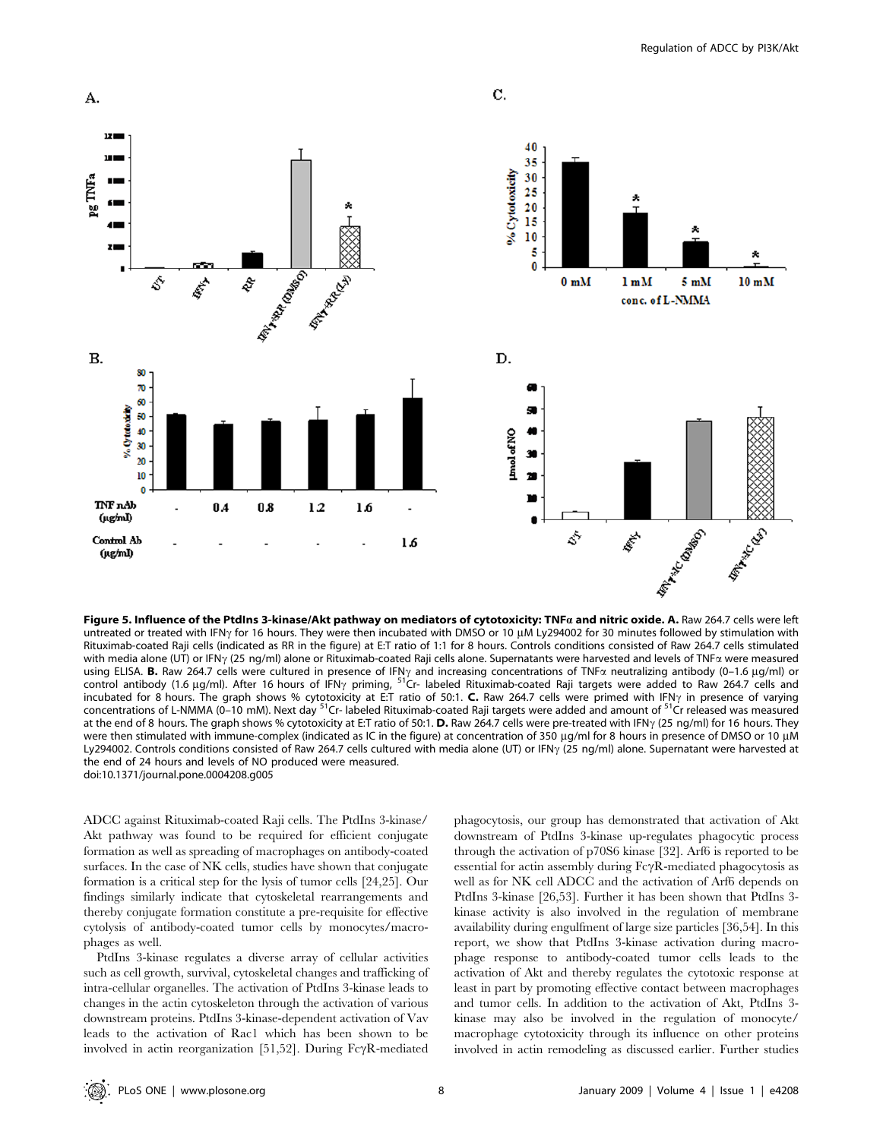

Figure 5. Influence of the PtdIns 3-kinase/Akt pathway on mediators of cytotoxicity: TNFa and nitric oxide. A. Raw 264.7 cells were left untreated or treated with IFN<sub>Y</sub> for 16 hours. They were then incubated with DMSO or 10 µM Ly294002 for 30 minutes followed by stimulation with Rituximab-coated Raji cells (indicated as RR in the figure) at E:T ratio of 1:1 for 8 hours. Controls conditions consisted of Raw 264.7 cells stimulated with media alone (UT) or IFN<sub>Y</sub> (25 ng/ml) alone or Rituximab-coated Raji cells alone. Supernatants were harvested and levels of TNF $\alpha$  were measured using ELISA. **B.** Raw 264.7 cells were cultured in presence of IFN<sub>Y</sub> and increasing concentrations of TNF $\alpha$  neutralizing antibody (0–1.6 µg/ml) or control antibody (1.6 µg/ml). After 16 hours of IFN<sub>Y</sub> priming, <sup>51</sup>Cr- labeled Rituximab-coated Raji targets were added to Raw 264.7 cells and incubated for 8 hours. The graph shows % cytotoxicity at E:T ratio of 50:1. **C.** Raw 264.7 cells were primed with IFN $\gamma$  in presence of varying concentrations of L-NMMA (0–10 mM). Next day <sup>51</sup>Cr- labeled Rituximab-coated Raji targets were added and amount of <sup>51</sup>Cr released was measured at the end of 8 hours. The graph shows % cytotoxicity at E:T ratio of 50:1. D. Raw 264.7 cells were pre-treated with IFN $\gamma$  (25 ng/ml) for 16 hours. They were then stimulated with immune-complex (indicated as IC in the figure) at concentration of 350 µg/ml for 8 hours in presence of DMSO or 10 µM Ly294002. Controls conditions consisted of Raw 264.7 cells cultured with media alone (UT) or IFN<sub>Y</sub> (25 ng/ml) alone. Supernatant were harvested at the end of 24 hours and levels of NO produced were measured. doi:10.1371/journal.pone.0004208.g005

ADCC against Rituximab-coated Raji cells. The PtdIns 3-kinase/ Akt pathway was found to be required for efficient conjugate formation as well as spreading of macrophages on antibody-coated surfaces. In the case of NK cells, studies have shown that conjugate formation is a critical step for the lysis of tumor cells [24,25]. Our findings similarly indicate that cytoskeletal rearrangements and thereby conjugate formation constitute a pre-requisite for effective cytolysis of antibody-coated tumor cells by monocytes/macrophages as well.

PtdIns 3-kinase regulates a diverse array of cellular activities such as cell growth, survival, cytoskeletal changes and trafficking of intra-cellular organelles. The activation of PtdIns 3-kinase leads to changes in the actin cytoskeleton through the activation of various downstream proteins. PtdIns 3-kinase-dependent activation of Vav leads to the activation of Rac1 which has been shown to be involved in actin reorganization [51,52]. During  $Fc\gamma R$ -mediated phagocytosis, our group has demonstrated that activation of Akt downstream of PtdIns 3-kinase up-regulates phagocytic process through the activation of p70S6 kinase [32]. Arf6 is reported to be essential for actin assembly during  $Fc\gamma R$ -mediated phagocytosis as well as for NK cell ADCC and the activation of Arf6 depends on PtdIns 3-kinase [26,53]. Further it has been shown that PtdIns 3 kinase activity is also involved in the regulation of membrane availability during engulfment of large size particles [36,54]. In this report, we show that PtdIns 3-kinase activation during macrophage response to antibody-coated tumor cells leads to the activation of Akt and thereby regulates the cytotoxic response at least in part by promoting effective contact between macrophages and tumor cells. In addition to the activation of Akt, PtdIns 3 kinase may also be involved in the regulation of monocyte/ macrophage cytotoxicity through its influence on other proteins involved in actin remodeling as discussed earlier. Further studies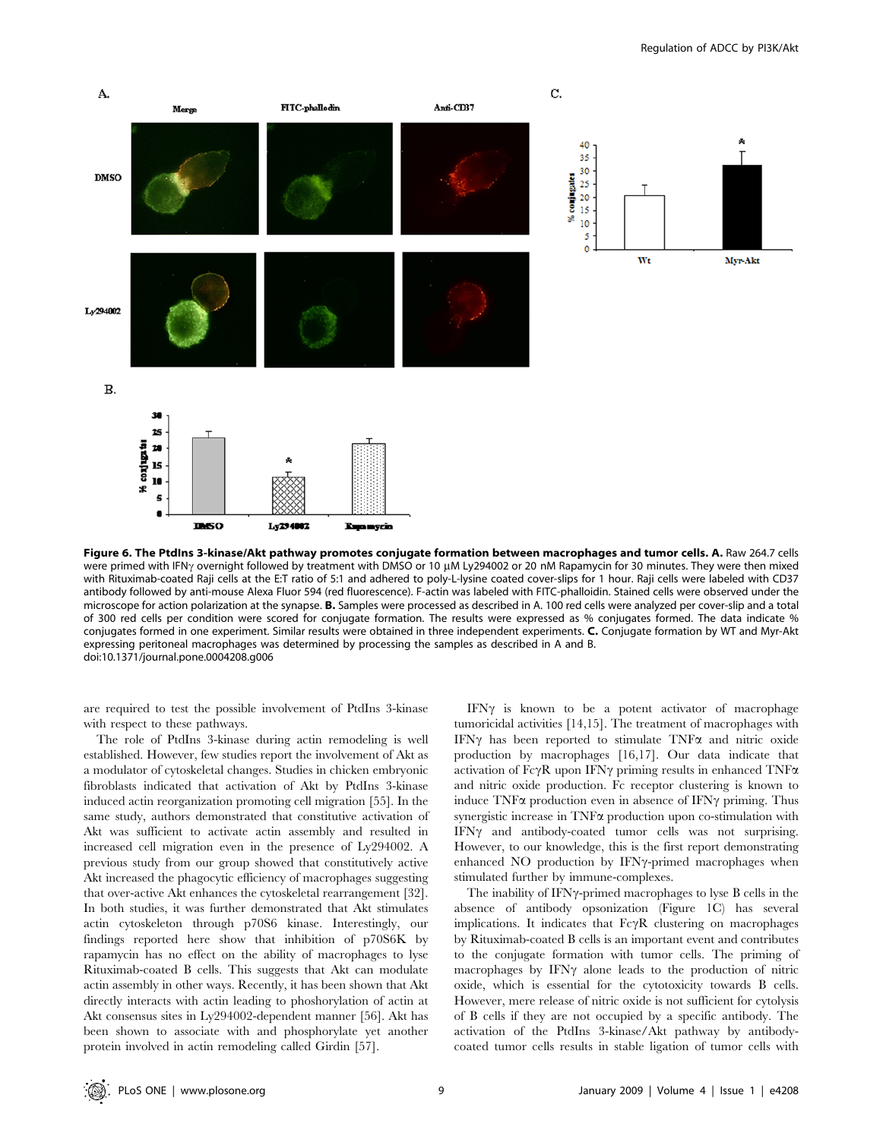

Figure 6. The PtdIns 3-kinase/Akt pathway promotes conjugate formation between macrophages and tumor cells. A. Raw 264.7 cells were primed with IFN<sub>Y</sub> overnight followed by treatment with DMSO or 10 μM Ly294002 or 20 nM Rapamycin for 30 minutes. They were then mixed with Rituximab-coated Raji cells at the E:T ratio of 5:1 and adhered to poly-L-lysine coated cover-slips for 1 hour. Raji cells were labeled with CD37 antibody followed by anti-mouse Alexa Fluor 594 (red fluorescence). F-actin was labeled with FITC-phalloidin. Stained cells were observed under the microscope for action polarization at the synapse. B. Samples were processed as described in A. 100 red cells were analyzed per cover-slip and a total of 300 red cells per condition were scored for conjugate formation. The results were expressed as % conjugates formed. The data indicate % conjugates formed in one experiment. Similar results were obtained in three independent experiments. C. Conjugate formation by WT and Myr-Akt expressing peritoneal macrophages was determined by processing the samples as described in A and B. doi:10.1371/journal.pone.0004208.g006

are required to test the possible involvement of PtdIns 3-kinase with respect to these pathways.

The role of PtdIns 3-kinase during actin remodeling is well established. However, few studies report the involvement of Akt as a modulator of cytoskeletal changes. Studies in chicken embryonic fibroblasts indicated that activation of Akt by PtdIns 3-kinase induced actin reorganization promoting cell migration [55]. In the same study, authors demonstrated that constitutive activation of Akt was sufficient to activate actin assembly and resulted in increased cell migration even in the presence of Ly294002. A previous study from our group showed that constitutively active Akt increased the phagocytic efficiency of macrophages suggesting that over-active Akt enhances the cytoskeletal rearrangement [32]. In both studies, it was further demonstrated that Akt stimulates actin cytoskeleton through p70S6 kinase. Interestingly, our findings reported here show that inhibition of p70S6K by rapamycin has no effect on the ability of macrophages to lyse Rituximab-coated B cells. This suggests that Akt can modulate actin assembly in other ways. Recently, it has been shown that Akt directly interacts with actin leading to phoshorylation of actin at Akt consensus sites in Ly294002-dependent manner [56]. Akt has been shown to associate with and phosphorylate yet another protein involved in actin remodeling called Girdin [57].

IFN $\gamma$  is known to be a potent activator of macrophage tumoricidal activities [14,15]. The treatment of macrophages with IFN $\gamma$  has been reported to stimulate TNF $\alpha$  and nitric oxide production by macrophages [16,17]. Our data indicate that activation of  $Fc\gamma R$  upon IFN $\gamma$  priming results in enhanced TNF $\alpha$ and nitric oxide production. Fc receptor clustering is known to induce  $TNF\alpha$  production even in absence of IFN $\gamma$  priming. Thus synergistic increase in TNF $\alpha$  production upon co-stimulation with  $IFN\gamma$  and antibody-coated tumor cells was not surprising. However, to our knowledge, this is the first report demonstrating enhanced NO production by IFNy-primed macrophages when stimulated further by immune-complexes.

The inability of IFN $\gamma$ -primed macrophages to lyse B cells in the absence of antibody opsonization (Figure 1C) has several implications. It indicates that  $Fc\gamma R$  clustering on macrophages by Rituximab-coated B cells is an important event and contributes to the conjugate formation with tumor cells. The priming of macrophages by  $IFN\gamma$  alone leads to the production of nitric oxide, which is essential for the cytotoxicity towards B cells. However, mere release of nitric oxide is not sufficient for cytolysis of B cells if they are not occupied by a specific antibody. The activation of the PtdIns 3-kinase/Akt pathway by antibodycoated tumor cells results in stable ligation of tumor cells with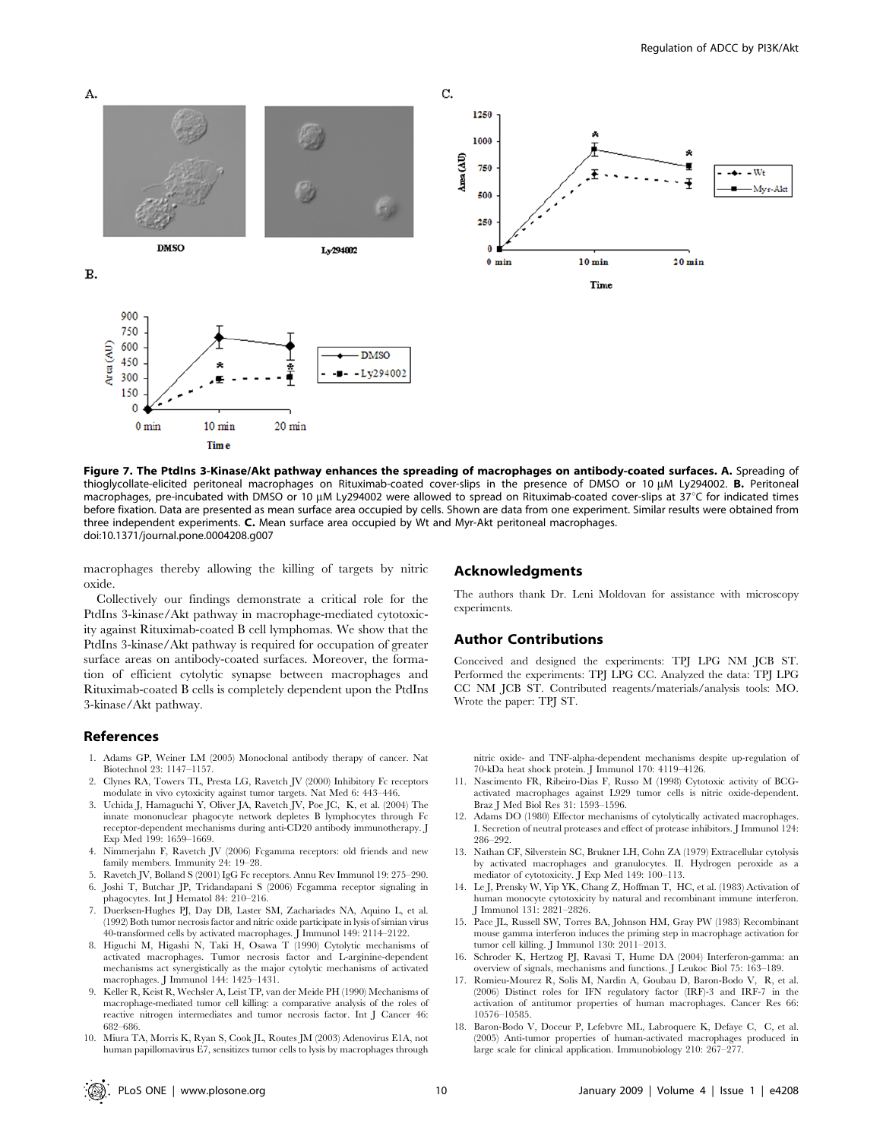

Figure 7. The PtdIns 3-Kinase/Akt pathway enhances the spreading of macrophages on antibody-coated surfaces. A. Spreading of thioglycollate-elicited peritoneal macrophages on Rituximab-coated cover-slips in the presence of DMSO or 10 µM Ly294002. B. Peritoneal macrophages, pre-incubated with DMSO or 10  $\mu$ M Ly294002 were allowed to spread on Rituximab-coated cover-slips at 37°C for indicated times before fixation. Data are presented as mean surface area occupied by cells. Shown are data from one experiment. Similar results were obtained from three independent experiments. C. Mean surface area occupied by Wt and Myr-Akt peritoneal macrophages. doi:10.1371/journal.pone.0004208.g007

macrophages thereby allowing the killing of targets by nitric oxide.

Collectively our findings demonstrate a critical role for the PtdIns 3-kinase/Akt pathway in macrophage-mediated cytotoxicity against Rituximab-coated B cell lymphomas. We show that the PtdIns 3-kinase/Akt pathway is required for occupation of greater surface areas on antibody-coated surfaces. Moreover, the formation of efficient cytolytic synapse between macrophages and Rituximab-coated B cells is completely dependent upon the PtdIns 3-kinase/Akt pathway.

#### References

- 1. Adams GP, Weiner LM (2005) Monoclonal antibody therapy of cancer. Nat Biotechnol 23: 1147–1157.
- 2. Clynes RA, Towers TL, Presta LG, Ravetch JV (2000) Inhibitory Fc receptors modulate in vivo cytoxicity against tumor targets. Nat Med 6: 443–446.
- 3. Uchida J, Hamaguchi Y, Oliver JA, Ravetch JV, Poe JC, K, et al. (2004) The innate mononuclear phagocyte network depletes B lymphocytes through Fc receptor-dependent mechanisms during anti-CD20 antibody immunotherapy. J Exp Med 199: 1659–1669.
- 4. Nimmerjahn F, Ravetch JV (2006) Fcgamma receptors: old friends and new family members. Immunity 24: 19–28.
- 5. Ravetch JV, Bolland S (2001) IgG Fc receptors. Annu Rev Immunol 19: 275–290. 6. Joshi T, Butchar JP, Tridandapani S (2006) Fcgamma receptor signaling in
- phagocytes. Int J Hematol 84: 210–216. 7. Duerksen-Hughes PJ, Day DB, Laster SM, Zachariades NA, Aquino L, et al.
- (1992) Both tumor necrosis factor and nitric oxide participate in lysis of simian virus 40-transformed cells by activated macrophages. J Immunol 149: 2114–2122.
- 8. Higuchi M, Higashi N, Taki H, Osawa T (1990) Cytolytic mechanisms of activated macrophages. Tumor necrosis factor and L-arginine-dependent mechanisms act synergistically as the major cytolytic mechanisms of activated macrophages. J Immunol 144: 1425–1431.
- 9. Keller R, Keist R, Wechsler A, Leist TP, van der Meide PH (1990) Mechanisms of macrophage-mediated tumor cell killing: a comparative analysis of the roles of reactive nitrogen intermediates and tumor necrosis factor. Int J Cancer 46: 682–686.
- 10. Miura TA, Morris K, Ryan S, Cook JL, Routes JM (2003) Adenovirus E1A, not human papillomavirus E7, sensitizes tumor cells to lysis by macrophages through

#### Acknowledgments

The authors thank Dr. Leni Moldovan for assistance with microscopy experiments.

#### Author Contributions

Conceived and designed the experiments: TPJ LPG NM JCB ST. Performed the experiments: TPJ LPG CC. Analyzed the data: TPJ LPG CC NM JCB ST. Contributed reagents/materials/analysis tools: MO. Wrote the paper: TPJ ST.

nitric oxide- and TNF-alpha-dependent mechanisms despite up-regulation of 70-kDa heat shock protein. J Immunol 170: 4119–4126.

- 11. Nascimento FR, Ribeiro-Dias F, Russo M (1998) Cytotoxic activity of BCGactivated macrophages against L929 tumor cells is nitric oxide-dependent. Braz J Med Biol Res 31: 1593–1596.
- 12. Adams DO (1980) Effector mechanisms of cytolytically activated macrophages. I. Secretion of neutral proteases and effect of protease inhibitors. J Immunol 124: 286–292.
- 13. Nathan CF, Silverstein SC, Brukner LH, Cohn ZA (1979) Extracellular cytolysis by activated macrophages and granulocytes. II. Hydrogen peroxide as a mediator of cytotoxicity. J Exp Med 149: 100–113.
- 14. Le J, Prensky W, Yip YK, Chang Z, Hoffman T, HC, et al. (1983) Activation of human monocyte cytotoxicity by natural and recombinant immune interferon. J Immunol 131: 2821–2826.
- 15. Pace JL, Russell SW, Torres BA, Johnson HM, Gray PW (1983) Recombinant mouse gamma interferon induces the priming step in macrophage activation for tumor cell killing. J Immunol 130: 2011–2013.
- 16. Schroder K, Hertzog PJ, Ravasi T, Hume DA (2004) Interferon-gamma: an overview of signals, mechanisms and functions. J Leukoc Biol 75: 163–189.
- 17. Romieu-Mourez R, Solis M, Nardin A, Goubau D, Baron-Bodo V, R, et al. (2006) Distinct roles for IFN regulatory factor (IRF)-3 and IRF-7 in the activation of antitumor properties of human macrophages. Cancer Res 66: 10576–10585.
- 18. Baron-Bodo V, Doceur P, Lefebvre ML, Labroquere K, Defaye C, C, et al. (2005) Anti-tumor properties of human-activated macrophages produced in large scale for clinical application. Immunobiology 210: 267–277.